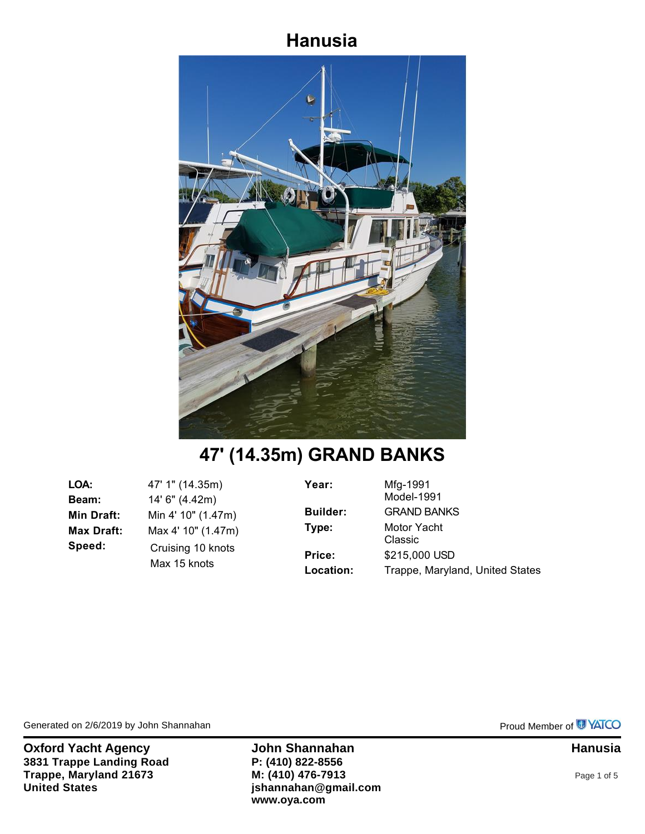## **Hanusia**



# **47' (14.35m) GRAND BANKS**

**LOA:** 47' 1" (14.35m) **Beam:** 14' 6" (4.42m) **Min Draft:** Min 4' 10" (1.47m) **Max Draft:** Max 4' 10" (1.47m) **Speed:** Cruising 10 knots Max 15 knots

**Year:** Mfg-1991 Model-1991 **Builder:** GRAND BANKS **Type:** Motor Yacht Classic **Price:** \$215,000 USD Location: Trappe, Maryland, United States

Generated on 2/6/2019 by John Shannahan **Proud Member of COVID-100 and ACCOVID-100** Proud Member of COVID-100

**Oxford Yacht Agency <b>State Shannahan John Shannahan Hanusia Hanusia 3831 Trappe Landing Road Trappe, Maryland 21673 United States**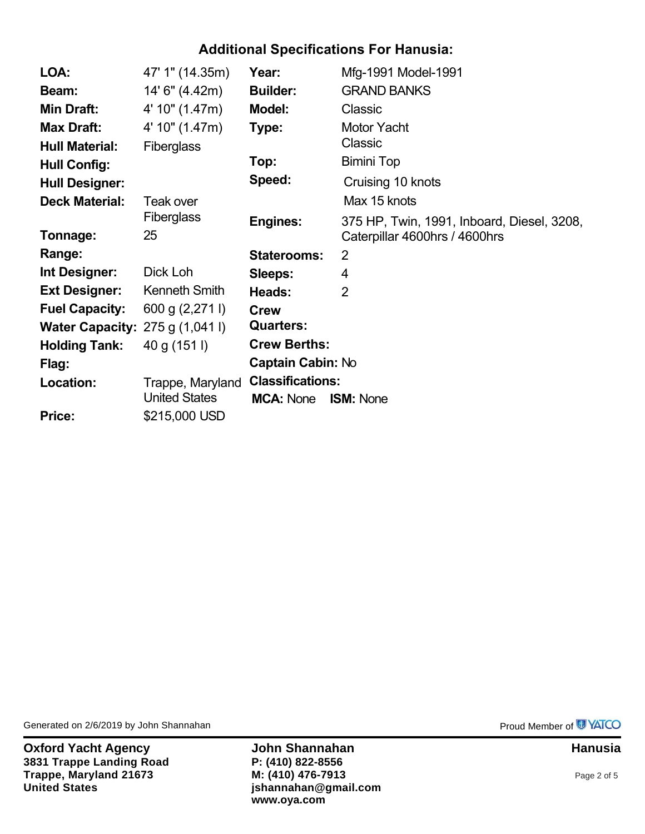### **Additional Specifications For Hanusia:**

| LOA:                                     | 47' 1" (14.35m)      | Year:                   | Mfg-1991 Model-1991                        |
|------------------------------------------|----------------------|-------------------------|--------------------------------------------|
| Beam:                                    | 14' 6" (4.42m)       | <b>Builder:</b>         | <b>GRAND BANKS</b>                         |
| <b>Min Draft:</b>                        | 4' 10" (1.47m)       | <b>Model:</b>           | Classic                                    |
| <b>Max Draft:</b>                        | 4' 10" (1.47m)       | Type:                   | <b>Motor Yacht</b>                         |
| <b>Hull Material:</b>                    | <b>Fiberglass</b>    |                         | Classic                                    |
| <b>Hull Config:</b>                      |                      | Top:                    | <b>Bimini Top</b>                          |
| <b>Hull Designer:</b>                    |                      | Speed:                  | Cruising 10 knots                          |
| <b>Deck Material:</b>                    | Teak over            |                         | Max 15 knots                               |
|                                          | <b>Fiberglass</b>    | <b>Engines:</b>         | 375 HP, Twin, 1991, Inboard, Diesel, 3208, |
| Tonnage:                                 | 25                   |                         | Caterpillar 4600hrs / 4600hrs              |
| Range:                                   |                      | <b>Staterooms:</b>      | $\overline{2}$                             |
| Int Designer:                            | Dick Loh             | Sleeps:                 | 4                                          |
| <b>Ext Designer:</b>                     | <b>Kenneth Smith</b> | Heads:                  | $\overline{2}$                             |
| <b>Fuel Capacity:</b>                    | 600 g (2,271 l)      | <b>Crew</b>             |                                            |
| <b>Water Capacity:</b> $275 g (1,041 l)$ |                      | <b>Quarters:</b>        |                                            |
| <b>Holding Tank:</b>                     | 40 g (151 l)         | <b>Crew Berths:</b>     |                                            |
| Flag:                                    |                      | Captain Cabin: No       |                                            |
| Location:                                | Trappe, Maryland     | <b>Classifications:</b> |                                            |
|                                          | <b>United States</b> | <b>MCA: None</b>        | <b>ISM: None</b>                           |
| <b>Price:</b>                            | \$215,000 USD        |                         |                                            |

Generated on 2/6/2019 by John Shannahan **Provides and Struth Australian** Proud Member of **P**YATCO

**Oxford Yacht Agency <b>State Shannahan John Shannahan Hanusia Hanusia 3831 Trappe Landing Road Trappe, Maryland 21673 United States**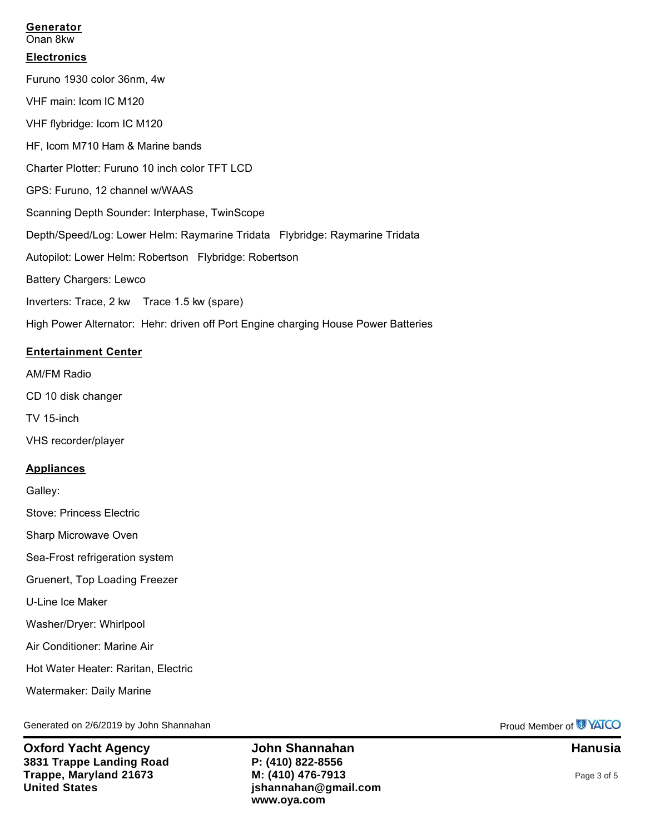#### **Generator**

Onan 8kw

#### **Electronics**

Furuno 1930 color 36nm, 4w VHF main: Icom IC M120 VHF flybridge: Icom IC M120 HF, Icom M710 Ham & Marine bands Charter Plotter: Furuno 10 inch color TFT LCD GPS: Furuno, 12 channel w/WAAS Scanning Depth Sounder: Interphase, TwinScope Depth/Speed/Log: Lower Helm: Raymarine Tridata Flybridge: Raymarine Tridata Autopilot: Lower Helm: Robertson Flybridge: Robertson Battery Chargers: Lewco Inverters: Trace, 2 kw Trace 1.5 kw (spare) High Power Alternator: Hehr: driven off Port Engine charging House Power Batteries

#### **Entertainment Center**

AM/FM Radio

CD 10 disk changer

TV 15-inch

VHS recorder/player

#### **Appliances**

Galley:

Stove: Princess Electric

Sharp Microwave Oven

Sea-Frost refrigeration system

Gruenert, Top Loading Freezer

U-Line Ice Maker

Washer/Dryer: Whirlpool

Air Conditioner: Marine Air

Hot Water Heater: Raritan, Electric

Watermaker: Daily Marine

Generated on 2/6/2019 by John Shannahan **Proud Member of UNATCO** Proud Member of UNATCO

**Oxford Yacht Agency John Shannahan Hanusia 3831 Trappe Landing Road Trappe, Maryland 21673 United States**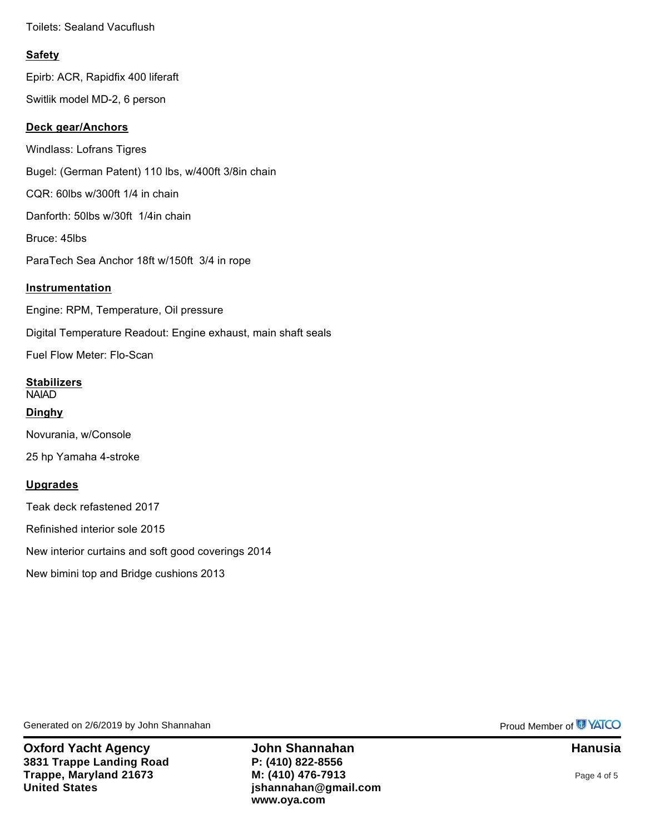Toilets: Sealand Vacuflush

#### **Safety**

Epirb: ACR, Rapidfix 400 liferaft

Switlik model MD-2, 6 person

#### **Deck gear/Anchors**

Windlass: Lofrans Tigres Bugel: (German Patent) 110 lbs, w/400ft 3/8in chain CQR: 60lbs w/300ft 1/4 in chain Danforth: 50lbs w/30ft 1/4in chain Bruce: 45lbs ParaTech Sea Anchor 18ft w/150ft 3/4 in rope **Instrumentation** Engine: RPM, Temperature, Oil pressure

Digital Temperature Readout: Engine exhaust, main shaft seals

Fuel Flow Meter: Flo-Scan

**Stabilizers** NAIAD **Dinghy**

Novurania, w/Console

25 hp Yamaha 4-stroke

#### **Upgrades**

Teak deck refastened 2017

Refinished interior sole 2015

New interior curtains and soft good coverings 2014

New bimini top and Bridge cushions 2013

Generated on 2/6/2019 by John Shannahan **Provides and Struth Australian** Proud Member of **P**YATCO

**Oxford Yacht Agency <b>State Shannahan John Shannahan Hanusia Hanusia 3831 Trappe Landing Road Trappe, Maryland 21673 United States**